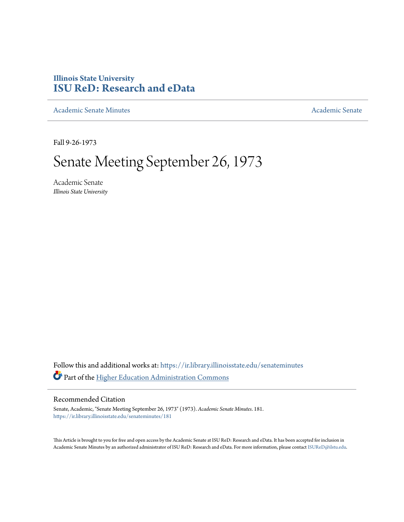# **Illinois State University [ISU ReD: Research and eData](https://ir.library.illinoisstate.edu?utm_source=ir.library.illinoisstate.edu%2Fsenateminutes%2F181&utm_medium=PDF&utm_campaign=PDFCoverPages)**

[Academic Senate Minutes](https://ir.library.illinoisstate.edu/senateminutes?utm_source=ir.library.illinoisstate.edu%2Fsenateminutes%2F181&utm_medium=PDF&utm_campaign=PDFCoverPages) [Academic Senate](https://ir.library.illinoisstate.edu/senate?utm_source=ir.library.illinoisstate.edu%2Fsenateminutes%2F181&utm_medium=PDF&utm_campaign=PDFCoverPages) Academic Senate

Fall 9-26-1973

# Senate Meeting September 26, 1973

Academic Senate *Illinois State University*

Follow this and additional works at: [https://ir.library.illinoisstate.edu/senateminutes](https://ir.library.illinoisstate.edu/senateminutes?utm_source=ir.library.illinoisstate.edu%2Fsenateminutes%2F181&utm_medium=PDF&utm_campaign=PDFCoverPages) Part of the [Higher Education Administration Commons](http://network.bepress.com/hgg/discipline/791?utm_source=ir.library.illinoisstate.edu%2Fsenateminutes%2F181&utm_medium=PDF&utm_campaign=PDFCoverPages)

# Recommended Citation

Senate, Academic, "Senate Meeting September 26, 1973" (1973). *Academic Senate Minutes*. 181. [https://ir.library.illinoisstate.edu/senateminutes/181](https://ir.library.illinoisstate.edu/senateminutes/181?utm_source=ir.library.illinoisstate.edu%2Fsenateminutes%2F181&utm_medium=PDF&utm_campaign=PDFCoverPages)

This Article is brought to you for free and open access by the Academic Senate at ISU ReD: Research and eData. It has been accepted for inclusion in Academic Senate Minutes by an authorized administrator of ISU ReD: Research and eData. For more information, please contact [ISUReD@ilstu.edu.](mailto:ISUReD@ilstu.edu)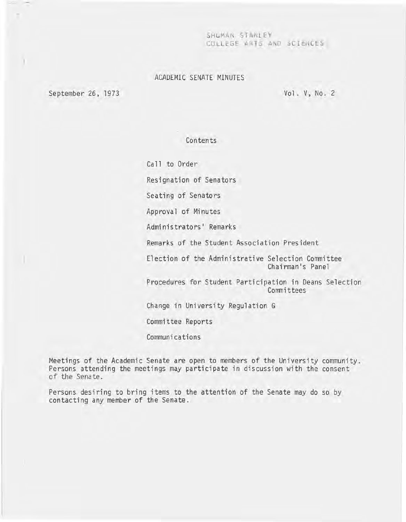SHUMAN STANLEY COlLtGE ARTS AND SCIeNCES

# ACADEMIC SENATE MINUTES

September 26, 1973

)

Vol. V, No. 2

# Contents

Call to Order

Resignation of Senators

Seating of Senators

Approval of Minutes

Administrators' Remarks

Remarks of the Student Association President

Election of the Administrative Selection Committee Chairman's Panel

Procedures for Student Participation in Deans Selection **Committees** 

Change in University Regulation G

Committee Reports

Communications

Meetings of the Academic Senate are open to members of the University community. Persons attending the meetings may participate in discussion with the consent of the Senate.

Persons desiring to bring items to the attention of the Senate may do so by contacting any member of the Senate.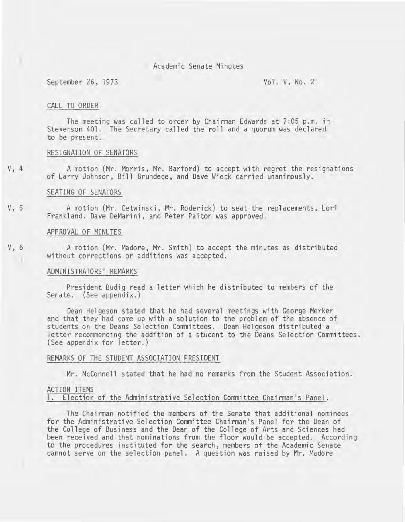# ) Academic Senate Minutes

September 26, 1973 Vol. V, No. 2

#### CALL TO ORDER

The meeting was called to order by Chairman Edwards at 7:05 p.m. in Stevenson 401. The Secretary called the roll and a quorum was declared to be present.

# RESIGNATION OF SENATORS

V, 4 A motion (Mr. Morris, Mr. Barford) to accept with regret the resignations of Larry Johnson, Bill Brundege, and Dave Wieck carried unanimously.

#### SEATING OF SENATORS

V, 5 A motion (Mr. Cetwinski, Mr. Roderick) to seat the replacements, Lori Frankland, Dave DeMarini, and Peter Paiton was approved.

# APPROVAL OF MINUTES

V, 6 A motion (Mr. Madore, Mr. Smith) to accept the minutes as distributed without corrections or additions was accepted.

#### ADMINISTRATORS' REMARKS

President Budig read a letter which he distributed to members of the Senate. (See appendix.)

Dean Helgeson stated that he had several meetings with George Merker and that they had come up with a solution to the problem of the absence of students on the Deans Selection Committees. Dean Helgeson distributed a letter recommending the addition of a student to the Deans Selection Committees. (See appendix for letter.)

# REMARKS OF THE STUDENT ASSOCIATION PRESIDENT

Mr. McConnell stated that he had no remarks from the Student Association.

#### ACTION ITEMS

1. Election of the Administrative Selection Committee Chairman's Panel.

The Chairman notified the members of the Senate that additional nominees for the Administrative Selection Committee Chairman's Panel for the Dean of the College of Business and the Dean of the College of Arts and Sciences had been received and that nominations from the floor would be accepted. According to the procedures instituted for the search, members of the Academic Senate cannot serve on the selection panel. A question was raised by Mr. Madore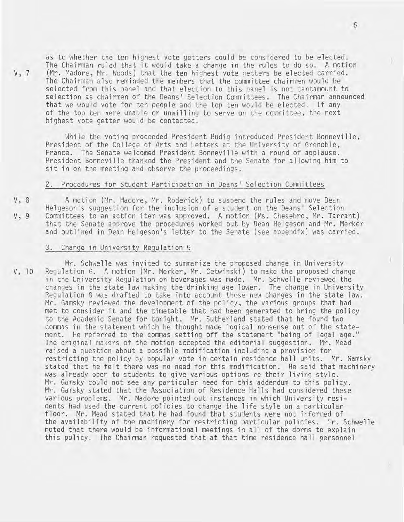as to whether the ten highest vote getters could be considered to be elected. The Chairman ruled that it would take a change in the rules to do so. A motion V, 7 (Mr. Madore, Mr. Woods) that the ten highest vote getters be elected carried. The Chairman also reminded the members that the committee chairmen would be selected from this panel and that election to this panel is not tantamount to selection as chairmen of the Deans' Selection Committees. The Chairman announced that we would vote for ten people and the top ten would be elected. If any of the top ten were unable or unwilling to serve on the committee, the next highest vote getter would be contacted.

While the voting proceeded President Budig introduced President Bonneville, President of the College of Arts and Letters at the University of Grenoble, France. The Senate welcomed President Bonneville with a round of applause. President Bonneville thanked the President and the Senate for allowing him to sit in on the meeting and observe the proceedings.

#### 2. Procedures for Student Participation in Deans' Selection Committees

V, 8 A motion (Mr. Madore, Mr. Roderick) to suspend the rules and move Dean Helgeson's suggestion for the inclusion of a student on the Deans' Selection V, 9 Committees to an action item was approved. A motion (Ms. Chesebro, Mr. Tarrant) that the Senate approve the procedures worked out by Dean Helqeson and Mr. Merker and outlined in Dean Helgeson's letter to the Senate (see appendix) was carried.

#### 3. Change in University Regulation G

Mr. Schwelle was invited to summarize the proposed change in University V, 10 Regulation G. A motion (Mr. Merker, Mr. Cetwinski) to make the proposed change in the University Regulation on beverages was made. Mr. Schwelle reviewed the changes in the state law making the drinking age lower. The change in University Regulation G was drafted to take into account these new changes in the state law. Mr. Gamsky reviewed the development of the policy, the various groups that had met to consider it and the timetable that had been generated to bring the policy to the Academic Senate for tonight. Mr. Sutherland stated that he found two commas in the statement which he thought made logical nonsense out of the statement. He referred to the commas setting off the statemert "being of legal age." The original makers of the motion accepted the editorial suggestion. Mr. Mead raised a question about a possible modification including a provision for restricting the policy by popular vote in certain residence hall units. Mr. Gamsky stated that he felt there was no need for this modification. He said that machinery was already open to students to give various options re their living style. Mr. Gamsky could not see any particular need for this addendum to this policy. Mr. Gamsky stated that the Association of Residence Halls had considered these various problems. Mr. Madore pointed out instances in which University residents had used the current policies to change the life style on a particular floor. Mr. Mead stated that he had found that students were not informed of the availability of the machinery for restricting particular policies. lir. Schwelle noted that there would be informational meetings in all of the dorms to explain this policy. The Chairman requested that at that time residence hall personnel

Y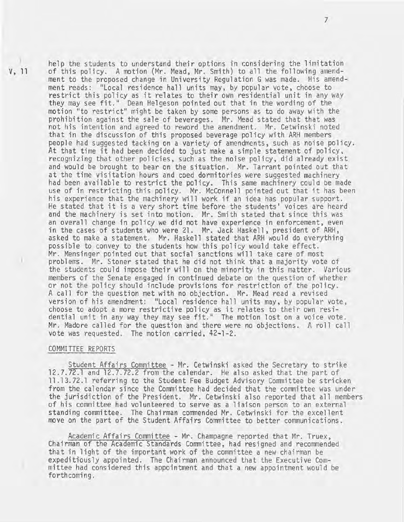V, 11 ) of this policy. A motion (Mr. Mead, Mr. Smith) to all the following amendment to the proposed change in University Regulation G was made. His amendment reads: "Local residence hall units may, by popular vote, choose to restrict this policy as it relates to their own residential unit in any way they may see fit." Dean Helgeson pointed out that in the wording of the motion "to restrict" might be taken by some persons as to do away with the prohibition against the sale of beverages. Mr. Mead stated that that was not his intention and agreed to reword the amendment. Mr. Cetwinski noted that in the discussion of this proposed beverage policy with ARH members people had suggested tacking on a variety of amendments, such as noise policy. At that time it had been decided to just make a simple statement of policy, recognizing that other policies, such as the noise policy, did already exist and would be brought to bear on the situation. Mr. Tarrant pointed out that at the time visitation hours and coed dormitories were suggested machinery<br>had been available to restrict the policy. This same machinery could be made use of in restricting this policy. Mr. McConnell pointed out that it has been his experience that the machinery will work if an idea has popular support. He stated that it is a very short time before the students' voices are heard and the machinery is set into motion. Mr. Smith stated that since this was an overall change in policy we did not have experience in enforcement, even in the cases of students who were 21. Mr. Jack Haskell, president of ARH, asked to make a statement. Mr. Haskell stated that ARH would do everything possible to convey to the students how this policy would take effect. Mr. Mensinger pointed out that social sanctions will take care of most problems. Mr. Stoner stated that he did not think that a majority vote of the students could impose their will on the minority in this matter. Various members of the Senate engaged in continued debate on the question of whether or not the policy should include provisions for restriction of the policy.

> A call for the question met with no objection. Mr. Mead read a revised version of his amendment: "Local residence hall units may, by popular vote, choose to adopt a more restrictive policy as it relates to their own residential unit in any way they may see fit." The motion lost on a voice vote.<br>Mr. Madore called for the question and there were no objections. A roll call Mr. Madore called for the question and there were no objections. A roll call vote was requested. The motion carried, 42-1-2.

help the students to understand their options in considering the limitation

#### COMMITTEE REPORTS

Student Affairs Committee - Mr. Cetwinski asked the Secretary to strike 12.7.72.1 and 12.7.72.2 from the calendar. He also asked that the part of **11.13.72.1** referring to the Student Fee Budget Advisory Committee be stricken from the calendar since the Committee had decided that the committee was under the jurisdiction of the President. Mr. Cetwinski also reported that all members of his committee had volunteered to serve as a liaison person to an external standing committee. The Chairman commended Mr. Cetwinski for the excellent move on the part of the Student Affairs Committee to better communications.

Academic Affairs Committee - Mr. Champagne reported that Mr. Truex, Chairman of the Academic Standards Committee, had resigned and recommended that in light of the important work of the committee a new chairman be expeditiously appointed. The Chairman announced that the Executive Committee had considered this appointment and that a new appointment would be forthcoming.

7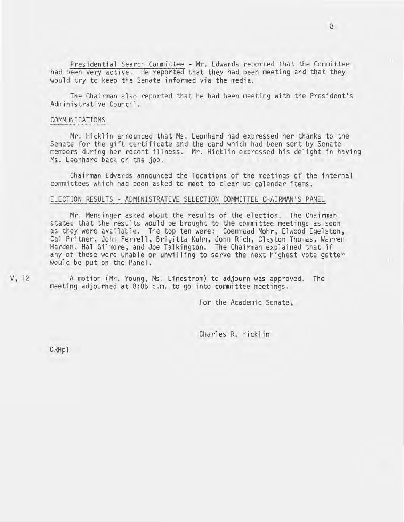Presidential Search Committee - Mr. Edwards reported that the Committee had been very active. He reported that they had been meeting and that they would try to keep the Senate informed via the media.

The Chairman also reported that he had been meeting with the President's Administrative Council.

#### COMMUNICATIONS

Mr. Hicklin announced that Ms. Leonhard had expressed her thanks to the Senate for the gift certificate and the card which had been sent by Senate members during her recent illness. Mr. Hicklin expressed his delight in having Ms. Leonhard back on the job.

Chairman Edwards announced the locations of the meetings of the internal committees which had been asked to meet to clear up calendar items.

# ELECTION RESULTS - ADMINISTRATIVE SELECTION COMMITTEE CHAIRMAN'S PANEL

Mr. Mensinger asked about the results of the election. The Chairman stated that the results would be brought to the committee meetings as soon as they were available. The top ten were: Coenraad Mohr, Elwood Egelston, Cal Pritner, John Ferrell, Brigitta Kuhn, John Rich, Clayton Thomas, Warren Harden, Hal Gilmore, and Joe Talkington. The Chairman explained that if any of these were unable or unwilling to serve the next highest vote getter would be put on the Panel.

A motion (Mr. Young, Ms. Lindstrom) to adjourn was approved. The meeting adjourned at 8:05 p.m. to go into committee meetings.

For the Academic Senate,

Charles R. Hicklin

CRHpl

V, 12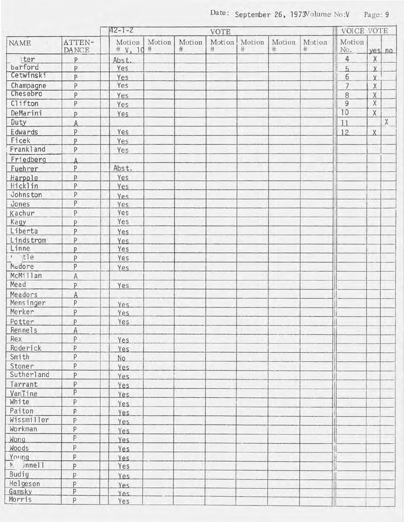|                     |                     | $142 - 1 - 2$<br>VOTE  |        |             |             |             |             |             | <b>VOICE VOTE</b> |                |                                                                       |
|---------------------|---------------------|------------------------|--------|-------------|-------------|-------------|-------------|-------------|-------------------|----------------|-----------------------------------------------------------------------|
| <b>NAME</b>         | ATTEN-<br>DANCE     | Motion<br># $y$ , 10 # | Motion | Motion<br># | Motion<br># | Motion<br># | Motion<br># | Motion<br># | Motion<br>No.     |                | yes no                                                                |
| ter                 | P                   | Abst.                  |        |             |             |             |             |             | $\overline{4}$    | $\chi$         |                                                                       |
| barford             | P                   | Yes                    |        |             |             |             |             |             | 5                 | $\overline{X}$ |                                                                       |
| Cetwinski           | P                   | Yes                    |        | ×           |             |             |             |             | 6                 | $\overline{X}$ |                                                                       |
| Champagne           | P                   | Yes                    |        |             |             |             |             |             | $\overline{7}$    | $\mathsf X$    |                                                                       |
| Chesebro            | P                   | Yes                    |        |             |             |             |             |             | $\,8\,$           | $\mathsf X$    |                                                                       |
| Clifton             | P                   | Yes                    |        |             |             |             |             |             | $\overline{9}$    | $\overline{X}$ |                                                                       |
| DeMarini            | P                   | Yes                    |        |             |             |             |             |             | 10                | $\chi$         |                                                                       |
| Duty                | A                   |                        |        |             |             |             |             |             | 11                |                | $\mathsf{X}% _{\mathsf{X}}^{\prime}=\mathsf{X}_{\mathsf{X}}^{\prime}$ |
| Edwards             | P                   | Yes                    |        |             |             |             |             |             | 12                | X              |                                                                       |
| Ficek               | p                   | Yes                    |        |             |             |             |             |             |                   |                |                                                                       |
| Frankland           | $\mathsf{P}$        | Yes                    |        |             |             |             |             |             |                   |                |                                                                       |
| Friedberg           | $\overline{A}$      |                        |        |             |             |             |             |             |                   |                |                                                                       |
| Fuehrer             | P                   | Abst.                  |        |             |             |             |             |             |                   |                |                                                                       |
| Harpole             | p                   | Yes                    |        |             |             |             |             |             |                   |                |                                                                       |
| Hicklin             | $\mathsf{P}$        | Yes                    |        |             |             |             |             |             |                   |                |                                                                       |
| Johnston            | P                   | Yes.                   |        |             |             |             |             |             |                   |                |                                                                       |
| Jones               | $\overline{P}$      | Yes                    |        |             |             |             |             |             |                   |                |                                                                       |
| Kachur              | P                   | Yes                    |        |             |             |             |             |             |                   |                |                                                                       |
| Kagy                | P                   | Yes                    |        |             |             |             |             |             |                   |                |                                                                       |
| Liberta             | P                   | Yes                    |        |             |             |             |             |             |                   |                |                                                                       |
| Lindstrom           | P                   | <b>Yes</b>             |        |             |             |             |             |             |                   |                |                                                                       |
| Linne               | P                   | Yes                    |        |             |             |             |             |             |                   |                |                                                                       |
| $\cdot$ tle         | P                   | Yes                    |        |             |             |             |             |             |                   |                |                                                                       |
| Madore              | $\mathsf{P}$        | Yes                    |        |             |             |             |             |             |                   |                |                                                                       |
| McMillan            | $\overline{A}$      |                        |        |             |             |             |             |             |                   |                |                                                                       |
| Mead                | P                   | Yes                    |        |             |             |             |             |             |                   |                |                                                                       |
| Meadors             | A                   |                        |        |             |             |             |             |             |                   |                |                                                                       |
| Mensinger           | $\, {\sf P}$        | <b>Yes</b>             |        |             |             |             |             |             |                   |                |                                                                       |
| Merker              | P                   | Yes                    |        |             |             |             |             |             |                   |                |                                                                       |
| Potter              | P                   | Yes                    |        |             |             |             |             |             |                   |                |                                                                       |
| Rennels             | $\overline{A}$      |                        |        |             |             |             |             |             |                   |                |                                                                       |
| Rex                 | P                   | <b>Yes</b>             |        |             |             |             |             |             |                   |                |                                                                       |
| Roderick            | P                   | Yes                    |        |             |             |             |             |             |                   |                |                                                                       |
| Smith               | P                   | No                     |        |             |             |             |             |             |                   |                |                                                                       |
| Stoner              | P                   | Yes.                   |        |             |             |             |             |             |                   |                |                                                                       |
| Sutherland          | P                   | Yes                    |        |             |             |             |             |             |                   |                |                                                                       |
| Tarrant             | P                   | Yes                    |        |             |             |             |             |             |                   |                |                                                                       |
| VanTine             | $\mathsf{P}$        | Yes                    |        |             |             |             |             |             |                   |                |                                                                       |
| White               | P                   |                        |        |             |             |             |             |             |                   |                |                                                                       |
| Paiton              | P                   | Yes.                   |        |             |             |             |             |             |                   |                |                                                                       |
| Wissmiller          | P                   | Yes                    |        |             |             |             |             |             |                   |                |                                                                       |
| Workman             | P                   | Yes                    |        |             |             |             |             |             |                   |                |                                                                       |
|                     | P                   | Yes                    |        |             |             |             |             |             |                   |                |                                                                       |
| Wong                | P                   | Yes.                   |        |             |             |             |             |             |                   |                |                                                                       |
| Woods               |                     | <b>Yes</b>             |        |             |             |             |             |             |                   |                |                                                                       |
| Young<br>$M$ Jnnell | $\, {\sf P}$        | <b>Yes</b>             |        |             |             |             |             |             |                   |                |                                                                       |
| Budig               | P                   | Yes                    |        |             |             |             |             |             |                   |                |                                                                       |
|                     | P                   | Yes.                   |        |             |             |             |             |             |                   |                |                                                                       |
| Helgeson<br>Gamsky  | P<br>$\overline{P}$ | Yes.                   |        |             |             |             |             |             |                   |                |                                                                       |
| Morris              | P                   | Yes.<br>Yes            |        |             |             |             |             |             |                   |                |                                                                       |
|                     |                     |                        |        |             |             |             |             |             |                   |                |                                                                       |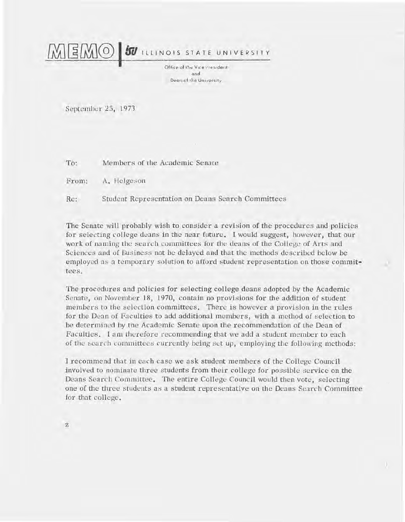$\Xi$ M $\sigma$ **SU** ILLINOIS STATE UNIVERSITY

> Office of the Vice trresident: nnd. Dean of the University

September 25, 1973

Members of the Academic Senate To:

From: A. Helgeson

Re: Student Representation on Deans Search Committees

The Senate will probably wish to consider a revision of the procedures and policies for selecting college deans in the near future. I would suggest, however, that our work of naming the search committees for the deans of the College of Arts and Sciences and of Business not be delayed and that the methods described below be employed as a temporary solution to afford student representation on those committees.

The procedures and policies for selecting college deans adopted by the Academic Senate, on November 18, 1970, contain no provisions for the addition of student members to the selection committees. There is however a provision in the rules for the Dean of Faculties to add additional members, with a method of selection to be determined by the Academic Senate upon the recommendation of the Dean of Faculties. I am therefore recommending that we add a student member to each of the search committees currently being set up, employing the following methods:

I recommend that in each case we ask student members of the College Council involved to nominate three students from their college for possible service on the Deans Search Committee. The entire College Council would then vote, selecting one of the three students as a student representative on the Deans Search Committee for that college.